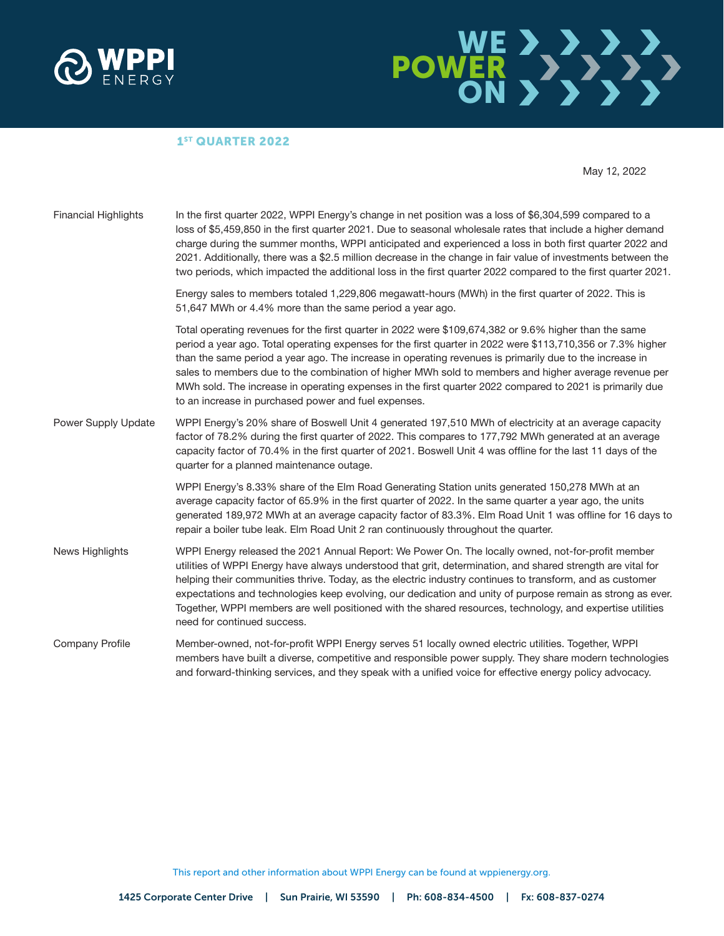



#### 1<sup>ST</sup> QUARTER 2022

May 12, 2022

| <b>Financial Highlights</b> | In the first quarter 2022, WPPI Energy's change in net position was a loss of \$6,304,599 compared to a<br>loss of \$5,459,850 in the first quarter 2021. Due to seasonal wholesale rates that include a higher demand<br>charge during the summer months, WPPI anticipated and experienced a loss in both first quarter 2022 and<br>2021. Additionally, there was a \$2.5 million decrease in the change in fair value of investments between the<br>two periods, which impacted the additional loss in the first quarter 2022 compared to the first quarter 2021.                                          |
|-----------------------------|--------------------------------------------------------------------------------------------------------------------------------------------------------------------------------------------------------------------------------------------------------------------------------------------------------------------------------------------------------------------------------------------------------------------------------------------------------------------------------------------------------------------------------------------------------------------------------------------------------------|
|                             | Energy sales to members totaled 1,229,806 megawatt-hours (MWh) in the first quarter of 2022. This is<br>51,647 MWh or 4.4% more than the same period a year ago.                                                                                                                                                                                                                                                                                                                                                                                                                                             |
|                             | Total operating revenues for the first quarter in 2022 were \$109,674,382 or 9.6% higher than the same<br>period a year ago. Total operating expenses for the first quarter in 2022 were \$113,710,356 or 7.3% higher<br>than the same period a year ago. The increase in operating revenues is primarily due to the increase in<br>sales to members due to the combination of higher MWh sold to members and higher average revenue per<br>MWh sold. The increase in operating expenses in the first quarter 2022 compared to 2021 is primarily due<br>to an increase in purchased power and fuel expenses. |
| Power Supply Update         | WPPI Energy's 20% share of Boswell Unit 4 generated 197,510 MWh of electricity at an average capacity<br>factor of 78.2% during the first quarter of 2022. This compares to 177,792 MWh generated at an average<br>capacity factor of 70.4% in the first quarter of 2021. Boswell Unit 4 was offline for the last 11 days of the<br>quarter for a planned maintenance outage.                                                                                                                                                                                                                                |
|                             | WPPI Energy's 8.33% share of the Elm Road Generating Station units generated 150,278 MWh at an<br>average capacity factor of 65.9% in the first quarter of 2022. In the same quarter a year ago, the units<br>generated 189,972 MWh at an average capacity factor of 83.3%. Elm Road Unit 1 was offline for 16 days to<br>repair a boiler tube leak. Elm Road Unit 2 ran continuously throughout the quarter.                                                                                                                                                                                                |
| News Highlights             | WPPI Energy released the 2021 Annual Report: We Power On. The locally owned, not-for-profit member<br>utilities of WPPI Energy have always understood that grit, determination, and shared strength are vital for<br>helping their communities thrive. Today, as the electric industry continues to transform, and as customer<br>expectations and technologies keep evolving, our dedication and unity of purpose remain as strong as ever.<br>Together, WPPI members are well positioned with the shared resources, technology, and expertise utilities<br>need for continued success.                     |
| Company Profile             | Member-owned, not-for-profit WPPI Energy serves 51 locally owned electric utilities. Together, WPPI<br>members have built a diverse, competitive and responsible power supply. They share modern technologies<br>and forward-thinking services, and they speak with a unified voice for effective energy policy advocacy.                                                                                                                                                                                                                                                                                    |

This report and other information about WPPI Energy can be found at wppienergy.org.